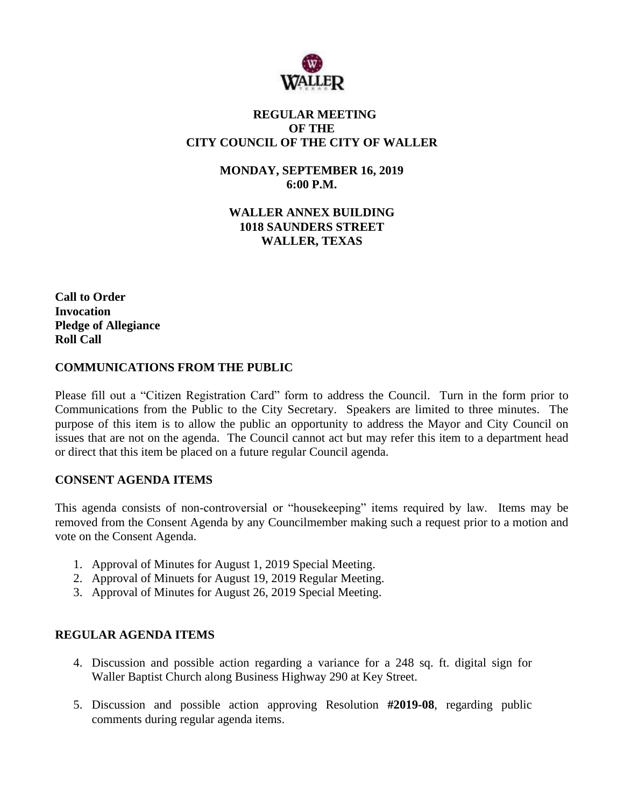

# **REGULAR MEETING OF THE CITY COUNCIL OF THE CITY OF WALLER**

**MONDAY, SEPTEMBER 16, 2019 6:00 P.M.**

**WALLER ANNEX BUILDING 1018 SAUNDERS STREET WALLER, TEXAS**

**Call to Order Invocation Pledge of Allegiance Roll Call**

## **COMMUNICATIONS FROM THE PUBLIC**

Please fill out a "Citizen Registration Card" form to address the Council. Turn in the form prior to Communications from the Public to the City Secretary. Speakers are limited to three minutes. The purpose of this item is to allow the public an opportunity to address the Mayor and City Council on issues that are not on the agenda. The Council cannot act but may refer this item to a department head or direct that this item be placed on a future regular Council agenda.

## **CONSENT AGENDA ITEMS**

This agenda consists of non-controversial or "housekeeping" items required by law. Items may be removed from the Consent Agenda by any Councilmember making such a request prior to a motion and vote on the Consent Agenda.

- 1. Approval of Minutes for August 1, 2019 Special Meeting.
- 2. Approval of Minuets for August 19, 2019 Regular Meeting.
- 3. Approval of Minutes for August 26, 2019 Special Meeting.

## **REGULAR AGENDA ITEMS**

- 4. Discussion and possible action regarding a variance for a 248 sq. ft. digital sign for Waller Baptist Church along Business Highway 290 at Key Street.
- 5. Discussion and possible action approving Resolution **#2019-08**, regarding public comments during regular agenda items.